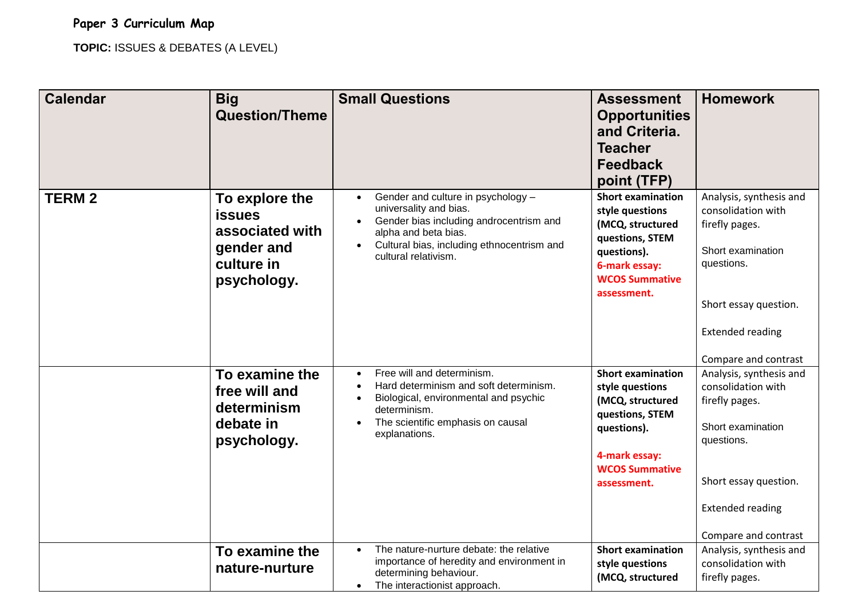## **Paper 3 Curriculum Map**

**TOPIC:** ISSUES & DEBATES (A LEVEL)

| <b>Calendar</b> | <b>Big</b><br><b>Question/Theme</b>                                                           | <b>Small Questions</b>                                                                                                                                                                                                                       | <b>Assessment</b><br><b>Opportunities</b><br>and Criteria.<br><b>Teacher</b><br><b>Feedback</b><br>point (TFP)                                             | <b>Homework</b>                                                                                                                                                                |
|-----------------|-----------------------------------------------------------------------------------------------|----------------------------------------------------------------------------------------------------------------------------------------------------------------------------------------------------------------------------------------------|------------------------------------------------------------------------------------------------------------------------------------------------------------|--------------------------------------------------------------------------------------------------------------------------------------------------------------------------------|
| <b>TERM2</b>    | To explore the<br><b>issues</b><br>associated with<br>gender and<br>culture in<br>psychology. | Gender and culture in psychology -<br>$\bullet$<br>universality and bias.<br>Gender bias including androcentrism and<br>$\bullet$<br>alpha and beta bias.<br>Cultural bias, including ethnocentrism and<br>$\bullet$<br>cultural relativism. | <b>Short examination</b><br>style questions<br>(MCQ, structured<br>questions, STEM<br>questions).<br>6-mark essay:<br><b>WCOS Summative</b><br>assessment. | Analysis, synthesis and<br>consolidation with<br>firefly pages.<br>Short examination<br>questions.<br>Short essay question.<br><b>Extended reading</b><br>Compare and contrast |
|                 | To examine the<br>free will and<br>determinism<br>debate in<br>psychology.                    | Free will and determinism.<br>$\bullet$<br>Hard determinism and soft determinism.<br>$\bullet$<br>Biological, environmental and psychic<br>$\bullet$<br>determinism.<br>The scientific emphasis on causal<br>$\bullet$<br>explanations.      | <b>Short examination</b><br>style questions<br>(MCQ, structured<br>questions, STEM<br>questions).<br>4-mark essay:<br><b>WCOS Summative</b><br>assessment. | Analysis, synthesis and<br>consolidation with<br>firefly pages.<br>Short examination<br>questions.<br>Short essay question.<br><b>Extended reading</b><br>Compare and contrast |
|                 | To examine the<br>nature-nurture                                                              | The nature-nurture debate: the relative<br>$\bullet$<br>importance of heredity and environment in<br>determining behaviour.<br>The interactionist approach.<br>$\bullet$                                                                     | <b>Short examination</b><br>style questions<br>(MCQ, structured                                                                                            | Analysis, synthesis and<br>consolidation with<br>firefly pages.                                                                                                                |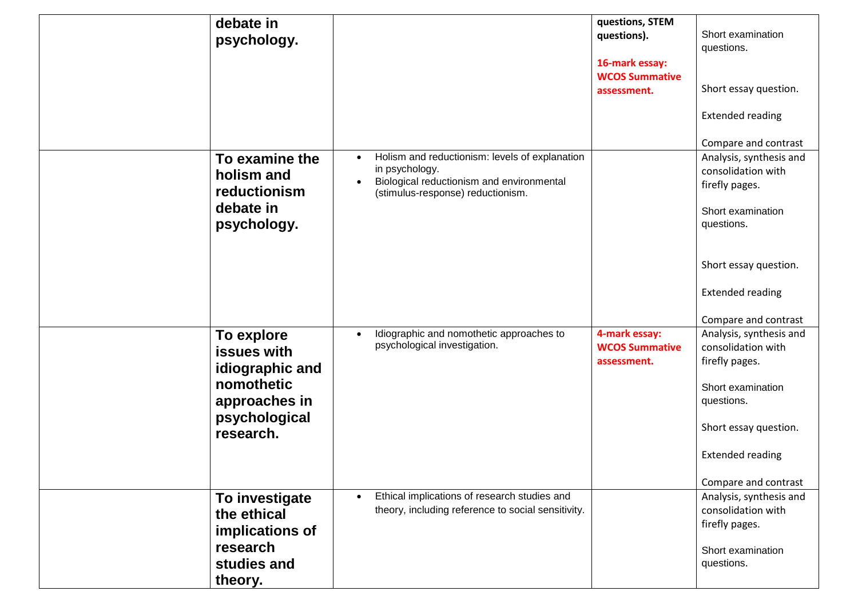| debate in<br>psychology.<br>To examine the<br>holism and<br>reductionism<br>debate in<br>psychology.      | Holism and reductionism: levels of explanation<br>$\bullet$<br>in psychology.<br>Biological reductionism and environmental<br>$\bullet$<br>(stimulus-response) reductionism. | questions, STEM<br>questions).<br>16-mark essay:<br><b>WCOS Summative</b><br>assessment. | Short examination<br>questions.<br>Short essay question.<br><b>Extended reading</b><br>Compare and contrast<br>Analysis, synthesis and<br>consolidation with<br>firefly pages.<br>Short examination<br>questions.<br>Short essay question.<br><b>Extended reading</b> |
|-----------------------------------------------------------------------------------------------------------|------------------------------------------------------------------------------------------------------------------------------------------------------------------------------|------------------------------------------------------------------------------------------|-----------------------------------------------------------------------------------------------------------------------------------------------------------------------------------------------------------------------------------------------------------------------|
| To explore<br>issues with<br>idiographic and<br>nomothetic<br>approaches in<br>psychological<br>research. | Idiographic and nomothetic approaches to<br>$\bullet$<br>psychological investigation.                                                                                        | 4-mark essay:<br><b>WCOS Summative</b><br>assessment.                                    | Compare and contrast<br>Analysis, synthesis and<br>consolidation with<br>firefly pages.<br>Short examination<br>questions.<br>Short essay question.<br><b>Extended reading</b><br>Compare and contrast                                                                |
| To investigate<br>the ethical<br>implications of<br>research<br>studies and<br>theory.                    | Ethical implications of research studies and<br>theory, including reference to social sensitivity.                                                                           |                                                                                          | Analysis, synthesis and<br>consolidation with<br>firefly pages.<br>Short examination<br>questions.                                                                                                                                                                    |